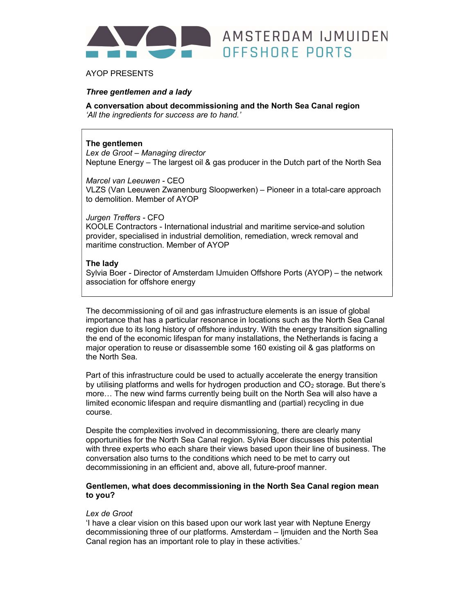

# AYOP PRESENTS

# Three gentlemen and a lady

A conversation about decommissioning and the North Sea Canal region 'All the ingredients for success are to hand.'

## The gentlemen

Lex de Groot – Managing director Neptune Energy – The largest oil & gas producer in the Dutch part of the North Sea

OFFSHORE PORTS

Marcel van Leeuwen - CEO VLZS (Van Leeuwen Zwanenburg Sloopwerken) – Pioneer in a total-care approach to demolition. Member of AYOP

Jurgen Treffers - CFO

KOOLE Contractors - International industrial and maritime service-and solution provider, specialised in industrial demolition, remediation, wreck removal and maritime construction. Member of AYOP

## The lady

Sylvia Boer - Director of Amsterdam IJmuiden Offshore Ports (AYOP) – the network association for offshore energy

The decommissioning of oil and gas infrastructure elements is an issue of global importance that has a particular resonance in locations such as the North Sea Canal region due to its long history of offshore industry. With the energy transition signalling the end of the economic lifespan for many installations, the Netherlands is facing a major operation to reuse or disassemble some 160 existing oil & gas platforms on the North Sea.

Part of this infrastructure could be used to actually accelerate the energy transition by utilising platforms and wells for hydrogen production and  $CO<sub>2</sub>$  storage. But there's more… The new wind farms currently being built on the North Sea will also have a limited economic lifespan and require dismantling and (partial) recycling in due course.

Despite the complexities involved in decommissioning, there are clearly many opportunities for the North Sea Canal region. Sylvia Boer discusses this potential with three experts who each share their views based upon their line of business. The conversation also turns to the conditions which need to be met to carry out decommissioning in an efficient and, above all, future-proof manner.

# Gentlemen, what does decommissioning in the North Sea Canal region mean to you?

#### Lex de Groot

'I have a clear vision on this based upon our work last year with Neptune Energy decommissioning three of our platforms. Amsterdam – Ijmuiden and the North Sea Canal region has an important role to play in these activities.'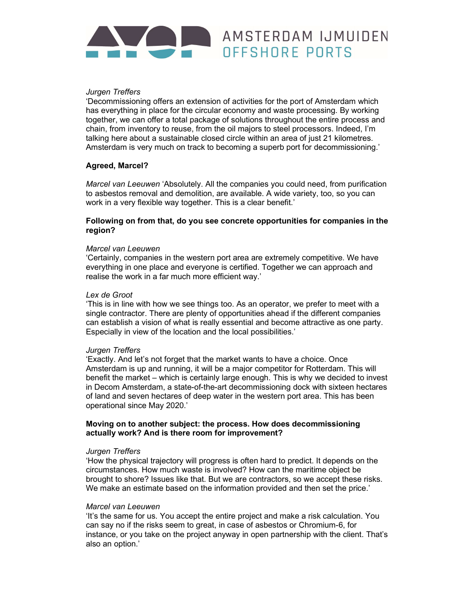# AMSTERDAM IJMUIDEN OFFSHORE PORTS

# Jurgen Treffers

'Decommissioning offers an extension of activities for the port of Amsterdam which has everything in place for the circular economy and waste processing. By working together, we can offer a total package of solutions throughout the entire process and chain, from inventory to reuse, from the oil majors to steel processors. Indeed, I'm talking here about a sustainable closed circle within an area of just 21 kilometres. Amsterdam is very much on track to becoming a superb port for decommissioning.'

# Agreed, Marcel?

Marcel van Leeuwen 'Absolutely. All the companies you could need, from purification to asbestos removal and demolition, are available. A wide variety, too, so you can work in a very flexible way together. This is a clear benefit.'

## Following on from that, do you see concrete opportunities for companies in the region?

## Marcel van Leeuwen

'Certainly, companies in the western port area are extremely competitive. We have everything in one place and everyone is certified. Together we can approach and realise the work in a far much more efficient way.'

#### Lex de Groot

'This is in line with how we see things too. As an operator, we prefer to meet with a single contractor. There are plenty of opportunities ahead if the different companies can establish a vision of what is really essential and become attractive as one party. Especially in view of the location and the local possibilities.'

## Jurgen Treffers

'Exactly. And let's not forget that the market wants to have a choice. Once Amsterdam is up and running, it will be a major competitor for Rotterdam. This will benefit the market – which is certainly large enough. This is why we decided to invest in Decom Amsterdam, a state-of-the-art decommissioning dock with sixteen hectares of land and seven hectares of deep water in the western port area. This has been operational since May 2020.'

## Moving on to another subject: the process. How does decommissioning actually work? And is there room for improvement?

#### Jurgen Treffers

'How the physical trajectory will progress is often hard to predict. It depends on the circumstances. How much waste is involved? How can the maritime object be brought to shore? Issues like that. But we are contractors, so we accept these risks. We make an estimate based on the information provided and then set the price.'

## Marcel van Leeuwen

'It's the same for us. You accept the entire project and make a risk calculation. You can say no if the risks seem to great, in case of asbestos or Chromium-6, for instance, or you take on the project anyway in open partnership with the client. That's also an option.'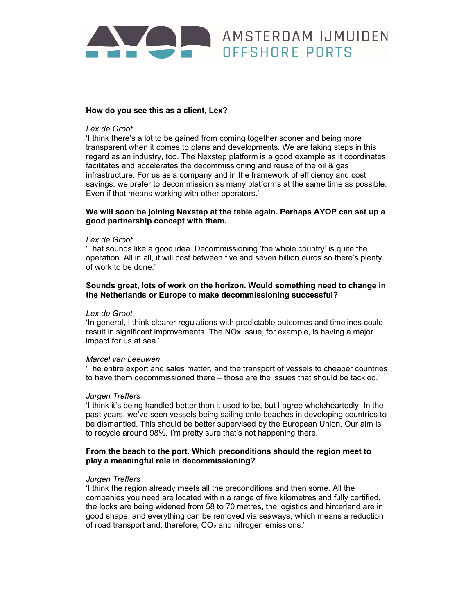# AMSTERDAM IJMUIDEN OFFSHORE PORTS

## How do you see this as a client, Lex?

#### Lex de Groot

'I think there's a lot to be gained from coming together sooner and being more transparent when it comes to plans and developments. We are taking steps in this regard as an industry, too. The Nexstep platform is a good example as it coordinates, facilitates and accelerates the decommissioning and reuse of the oil & gas infrastructure. For us as a company and in the framework of efficiency and cost savings, we prefer to decommission as many platforms at the same time as possible. Even if that means working with other operators.'

## We will soon be joining Nexstep at the table again. Perhaps AYOP can set up a good partnership concept with them.

#### Lex de Groot

'That sounds like a good idea. Decommissioning 'the whole country' is quite the operation. All in all, it will cost between five and seven billion euros so there's plenty of work to be done.'

## Sounds great, lots of work on the horizon. Would something need to change in the Netherlands or Europe to make decommissioning successful?

#### Lex de Groot

'In general, I think clearer regulations with predictable outcomes and timelines could result in significant improvements. The NOx issue, for example, is having a major impact for us at sea.'

#### Marcel van Leeuwen

'The entire export and sales matter, and the transport of vessels to cheaper countries to have them decommissioned there – those are the issues that should be tackled.'

#### Jurgen Treffers

'I think it's being handled better than it used to be, but I agree wholeheartedly. In the past years, we've seen vessels being sailing onto beaches in developing countries to be dismantled. This should be better supervised by the European Union. Our aim is to recycle around 98%. I'm pretty sure that's not happening there.'

## From the beach to the port. Which preconditions should the region meet to play a meaningful role in decommissioning?

#### Jurgen Treffers

'I think the region already meets all the preconditions and then some. All the companies you need are located within a range of five kilometres and fully certified, the locks are being widened from 58 to 70 metres, the logistics and hinterland are in good shape, and everything can be removed via seaways, which means a reduction of road transport and, therefore,  $CO<sub>2</sub>$  and nitrogen emissions.'